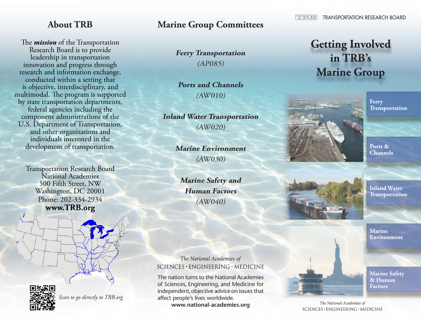The *mission* of the Transportation Research Board is to provide leadership in transportation innovation and progress through research and information exchange, conducted within a setting that is objective, interdisciplinary, and multimodal. The program is supported by state transportation departments, federal agencies including the component administrations of the U.S. Department of Transportation, and other organizations and individuals interested in the development of transportation.

Transportation Research Board National Academies 500 Fifth Street, NW Washington, DC 20001 Phone: 202-334-2934 **www.TRB.org**

#### **About TRB Marine Group Committees**

**Ferry Transportation** (AP085)

**Ports and Channels**  (AW010)

**Inland Water Transportation** (AW020)

> **Marine Environment**  (AW030)

**Marine Safety and Human Factors**  (AW040)

# **Getting Involved**

**TRANSPORTATION RESEARCH BOARD** 

## **in TRB's Marine Group**



ग्वरम

**Ferry Transportation**

**Ports & Channels**

**Inland Water Transportation**

**Marine Environment**

The National Academies of  $SCIENCES · ENGINEERING · MEDICINE$ 

The nation turns to the National Academies of Sciences, Engineering, and Medicine for independent, objective advice on issues that affect people's lives worldwide.

www.national-academies.org



**Marine Safety & Human Factors**

**\**

The National Academies of  $SCIENCES · ENGINEERING · MEDICINE$ 



*Scan to go directly to TRB.org*